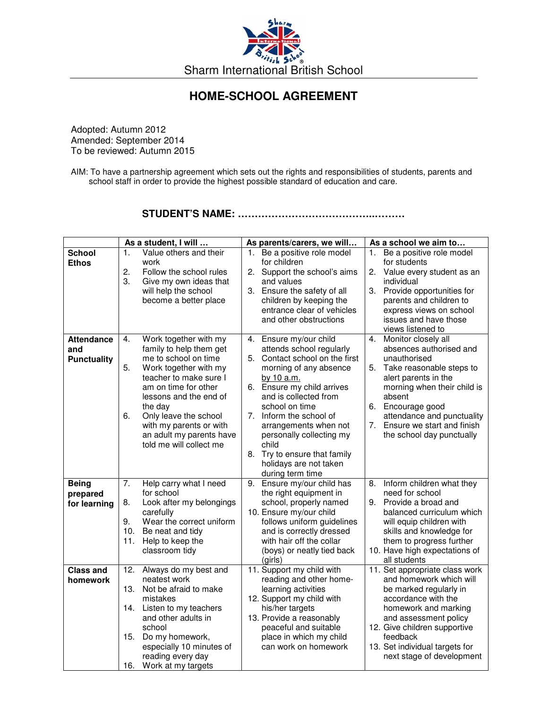

## **HOME-SCHOOL AGREEMENT**

Adopted: Autumn 2012 Amended: September 2014 To be reviewed: Autumn 2015

AIM: To have a partnership agreement which sets out the rights and responsibilities of students, parents and school staff in order to provide the highest possible standard of education and care.

## **STUDENT'S NAME: …………………………………..………**

|                                                | As a student, I will                                                                                                                                                                                                                                                                                                  | As parents/carers, we will                                                                                                                                                                                                                                                                                                                                                         | As a school we aim to                                                                                                                                                                                                                                                                    |
|------------------------------------------------|-----------------------------------------------------------------------------------------------------------------------------------------------------------------------------------------------------------------------------------------------------------------------------------------------------------------------|------------------------------------------------------------------------------------------------------------------------------------------------------------------------------------------------------------------------------------------------------------------------------------------------------------------------------------------------------------------------------------|------------------------------------------------------------------------------------------------------------------------------------------------------------------------------------------------------------------------------------------------------------------------------------------|
| <b>School</b><br><b>Ethos</b>                  | $\mathbf{1}$ .<br>Value others and their<br>work<br>2.<br>Follow the school rules<br>3.<br>Give my own ideas that<br>will help the school<br>become a better place                                                                                                                                                    | Be a positive role model<br>1.<br>for children<br>2. Support the school's aims<br>and values<br>3. Ensure the safety of all<br>children by keeping the<br>entrance clear of vehicles<br>and other obstructions                                                                                                                                                                     | Be a positive role model<br>1.<br>for students<br>2.<br>Value every student as an<br>individual<br>3. Provide opportunities for<br>parents and children to<br>express views on school<br>issues and have those<br>views listened to                                                      |
| <b>Attendance</b><br>and<br><b>Punctuality</b> | Work together with my<br>4.<br>family to help them get<br>me to school on time<br>5.<br>Work together with my<br>teacher to make sure I<br>am on time for other<br>lessons and the end of<br>the day<br>6.<br>Only leave the school<br>with my parents or with<br>an adult my parents have<br>told me will collect me | Ensure my/our child<br>4.<br>attends school regularly<br>5. Contact school on the first<br>morning of any absence<br>by 10 a.m.<br>6. Ensure my child arrives<br>and is collected from<br>school on time<br>7. Inform the school of<br>arrangements when not<br>personally collecting my<br>child<br>Try to ensure that family<br>8.<br>holidays are not taken<br>during term time | 4.<br>Monitor closely all<br>absences authorised and<br>unauthorised<br>5.<br>Take reasonable steps to<br>alert parents in the<br>morning when their child is<br>absent<br>6. Encourage good<br>attendance and punctuality<br>7. Ensure we start and finish<br>the school day punctually |
| <b>Being</b><br>prepared<br>for learning       | Help carry what I need<br>7.<br>for school<br>Look after my belongings<br>8.<br>carefully<br>9.<br>Wear the correct uniform<br>10.<br>Be neat and tidy<br>Help to keep the<br>11.<br>classroom tidy                                                                                                                   | 9.<br>Ensure my/our child has<br>the right equipment in<br>school, properly named<br>10. Ensure my/our child<br>follows uniform guidelines<br>and is correctly dressed<br>with hair off the collar<br>(boys) or neatly tied back<br>(girls)                                                                                                                                        | Inform children what they<br>8.<br>need for school<br>9. Provide a broad and<br>balanced curriculum which<br>will equip children with<br>skills and knowledge for<br>them to progress further<br>10. Have high expectations of<br>all students                                           |
| <b>Class and</b><br>homework                   | Always do my best and<br>12.<br>neatest work<br>13. Not be afraid to make<br>mistakes<br>14. Listen to my teachers<br>and other adults in<br>school<br>15.<br>Do my homework,<br>especially 10 minutes of<br>reading every day<br>16. Work at my targets                                                              | 11. Support my child with<br>reading and other home-<br>learning activities<br>12. Support my child with<br>his/her targets<br>13. Provide a reasonably<br>peaceful and suitable<br>place in which my child<br>can work on homework                                                                                                                                                | 11. Set appropriate class work<br>and homework which will<br>be marked regularly in<br>accordance with the<br>homework and marking<br>and assessment policy<br>12. Give children supportive<br>feedback<br>13. Set individual targets for<br>next stage of development                   |